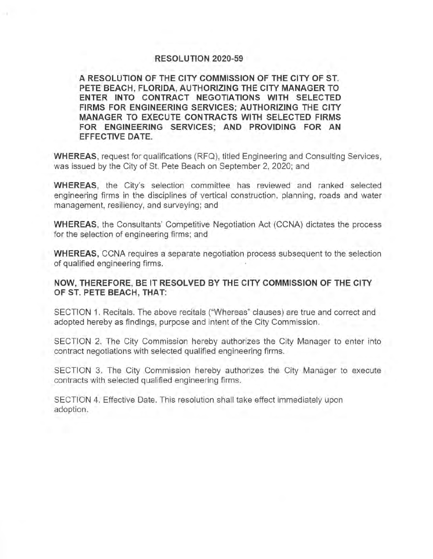## **RESOLUTION 2020-59**

**A RESOLUTION OF THE CITY COMMISSION OF THE CITY OF ST. PETE BEACH, FLORIDA, AUTHORIZING THE CITY MANAGER TO ENTER INTO CONTRACT NEGOTIATIONS WITH SELECTED FIRMS FOR ENGINEERING SERVICES; AUTHORIZING THE CITY MANAGER TO EXECUTE CONTRACTS WITH SELECTED FIRMS FOR ENGINEERING SERVICES; AND PROVIDING FOR AN EFFECTIVE DATE.** 

**WHEREAS,** request for qualifications (RFQ), titled Engineering and Consulting Services, was issued by the City of St. Pete Beach on September 2, 2020; and

**WHEREAS,** the City's selection committee has reviewed and ranked selected engineering firms in the disciplines of vertical construction, planning, roads and water management, resiliency, and surveying; and

**WHEREAS,** the Consultants' Competitive Negotiation Act (CCNA) dictates the process for the selection of engineering firms; and

**WHEREAS,** CCNA requires a separate negotiation process subsequent to the selection of qualified engineering firms.

## **NOW, THEREFORE, BE IT RESOLVED BY THE CITY COMMISSION OF THE CITY OF ST. PETE BEACH, THAT:**

SECTION 1. Recitals. The above recitals ("Whereas" clauses) are true and correct and adopted hereby as findings, purpose and intent of the City Commission.

SECTION 2. The City Commission hereby authorizes the City Manager to enter into contract negotiations with selected qualified engineering firms.

SECTION 3. The City Commission hereby authorizes the City Manager to execute contracts with selected qualified engineering firms.

SECTION 4. Effective Date. This resolution shall take effect immediately upon adoption.